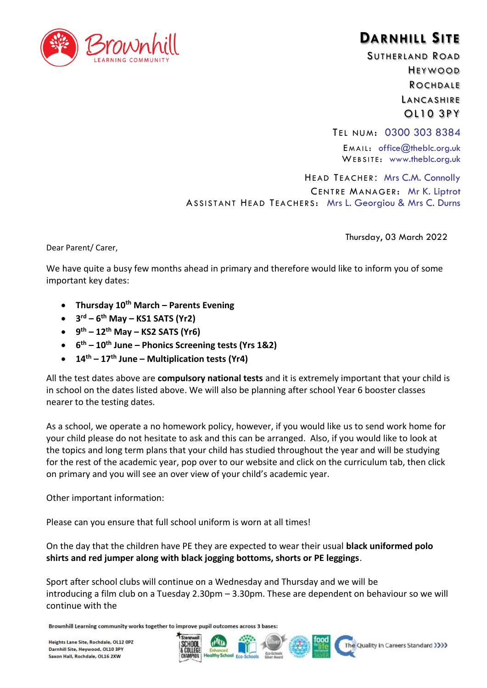

## **DARNHILL SITE**

SUTHERLAND ROAD HEYWOOD **ROCHDALE** LANCASHIRE OL10 3PY

TEL NUM: 0300 303 8384

EMAIL: office $@$ theblc.org.uk WEBSITE: www.theblc.org.uk

HEAD TEACHER: Mrs C.M. Connolly CENTRE MANAGER: Mr K. Liptrot ASSISTANT HEAD TEACHERS: Mrs L. Georgiou & Mrs C. Durns

Dear Parent/ Carer,

Thursday, 03 March 2022

We have quite a busy few months ahead in primary and therefore would like to inform you of some important key dates:

- **Thursday 10th March – Parents Evening**
- **3 rd – 6 th May – KS1 SATS (Yr2)**
- **9 th – 12th May – KS2 SATS (Yr6)**
- **6 th – 10th June – Phonics Screening tests (Yrs 1&2)**
- **14th – 17th June – Multiplication tests (Yr4)**

All the test dates above are **compulsory national tests** and it is extremely important that your child is in school on the dates listed above. We will also be planning after school Year 6 booster classes nearer to the testing dates.

As a school, we operate a no homework policy, however, if you would like us to send work home for your child please do not hesitate to ask and this can be arranged. Also, if you would like to look at the topics and long term plans that your child has studied throughout the year and will be studying for the rest of the academic year, pop over to our website and click on the curriculum tab, then click on primary and you will see an over view of your child's academic year.

Other important information:

Please can you ensure that full school uniform is worn at all times!

On the day that the children have PE they are expected to wear their usual **black uniformed polo shirts and red jumper along with black jogging bottoms, shorts or PE leggings**.

Sport after school clubs will continue on a Wednesday and Thursday and we will be introducing a film club on a Tuesday 2.30pm – 3.30pm. These are dependent on behaviour so we will continue with the

Brownhill Learning community works together to improve pupil outcomes across 3 bases: